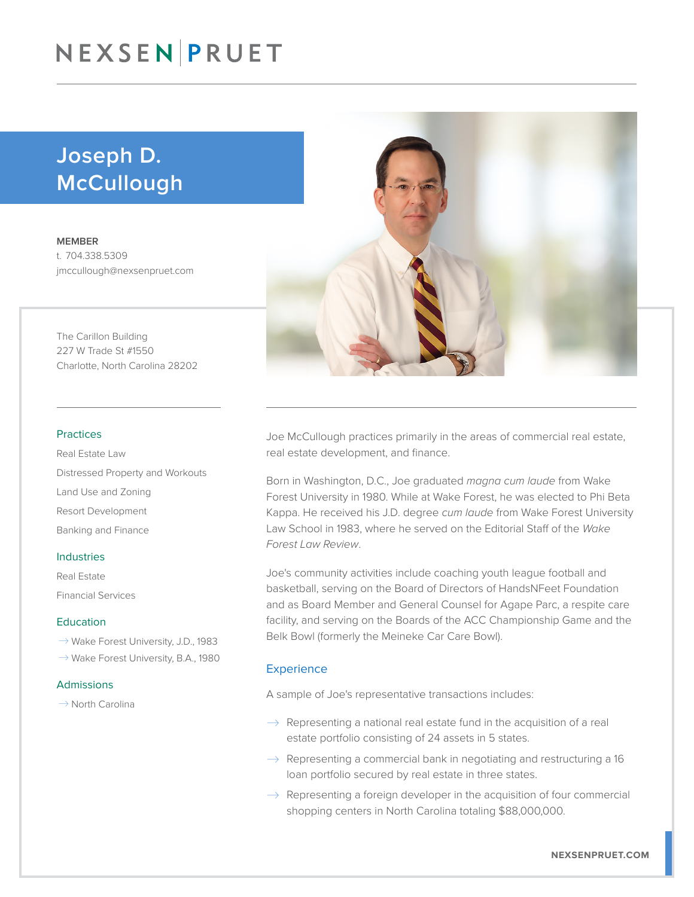## NEXSEN PRUET

### Joseph D. McCullough

MEMBER t. 704.338.5309 jmccullough@nexsenpruet.com

The Carillon Building 227 W Trade St #1550 Charlotte, North Carolina 28202

#### Practices

Real Estate Law Distressed Property and Workouts Land Use and Zoning Resort Development Banking and Finance

#### Industries

Real Estate Financial Services

#### Education

- $\rightarrow$  Wake Forest University, J.D., 1983
- $\rightarrow$  Wake Forest University, B.A., 1980

#### Admissions

 $\rightarrow$  North Carolina



Joe McCullough practices primarily in the areas of commercial real estate, real estate development, and finance.

Born in Washington, D.C., Joe graduated *magna cum laude* from Wake Forest University in 1980. While at Wake Forest, he was elected to Phi Beta Kappa. He received his J.D. degree *cum laude* from Wake Forest University Law School in 1983, where he served on the Editorial Staff of the *Wake Forest Law Review*.

Joe's community activities include coaching youth league football and basketball, serving on the Board of Directors of HandsNFeet Foundation and as Board Member and General Counsel for Agape Parc, a respite care facility, and serving on the Boards of the ACC Championship Game and the Belk Bowl (formerly the Meineke Car Care Bowl).

#### **Experience**

A sample of Joe's representative transactions includes:

- $\rightarrow$  Representing a national real estate fund in the acquisition of a real estate portfolio consisting of 24 assets in 5 states.
- $\rightarrow$  Representing a commercial bank in negotiating and restructuring a 16 loan portfolio secured by real estate in three states.
- $\rightarrow$  Representing a foreign developer in the acquisition of four commercial shopping centers in North Carolina totaling \$88,000,000.